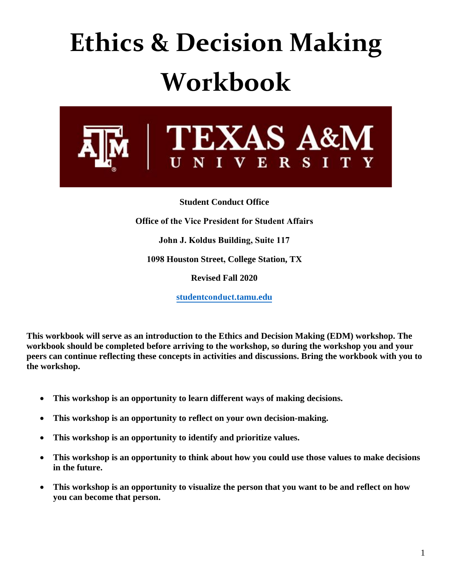# **Ethics & Decision Making Workbook**



**Student Conduct Office Office of the Vice President for Student Affairs John J. Koldus Building, Suite 117 1098 Houston Street, College Station, TX Revised Fall 2020 studentconduct[.tamu.edu](http://studentlife.tamu.edu/sco)**

**This workbook will serve as an introduction to the Ethics and Decision Making (EDM) workshop. The workbook should be completed before arriving to the workshop, so during the workshop you and your peers can continue reflecting these concepts in activities and discussions. Bring the workbook with you to the workshop.** 

- **This workshop is an opportunity to learn different ways of making decisions.**
- **This workshop is an opportunity to reflect on your own decision-making.**
- **This workshop is an opportunity to identify and prioritize values.**
- **This workshop is an opportunity to think about how you could use those values to make decisions in the future.**
- **This workshop is an opportunity to visualize the person that you want to be and reflect on how you can become that person.**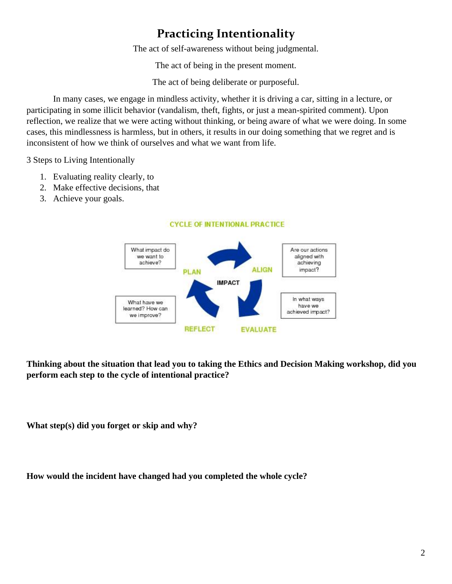## **Practicing Intentionality**

The act of self-awareness without being judgmental.

The act of being in the present moment.

The act of being deliberate or purposeful.

In many cases, we engage in mindless activity, whether it is driving a car, sitting in a lecture, or participating in some illicit behavior (vandalism, theft, fights, or just a mean-spirited comment). Upon reflection, we realize that we were acting without thinking, or being aware of what we were doing. In some cases, this mindlessness is harmless, but in others, it results in our doing something that we regret and is inconsistent of how we think of ourselves and what we want from life.

3 Steps to Living Intentionally

- 1. Evaluating reality clearly, to
- 2. Make effective decisions, that
- 3. Achieve your goals.



**CYCLE OF INTENTIONAL PRACTICE** 

**Thinking about the situation that lead you to taking the Ethics and Decision Making workshop, did you perform each step to the cycle of intentional practice?**

**What step(s) did you forget or skip and why?**

**How would the incident have changed had you completed the whole cycle?**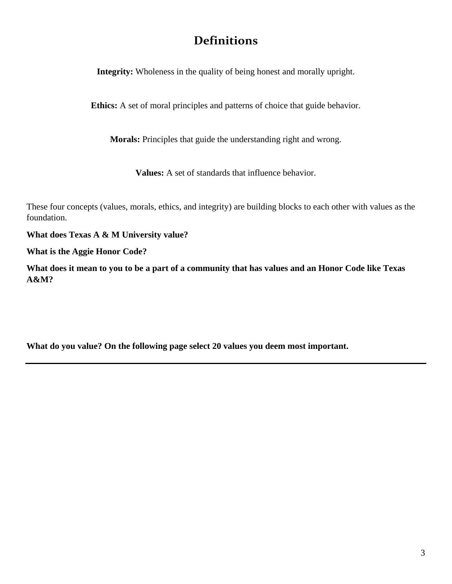### **Definitions**

**Integrity:** Wholeness in the quality of being honest and morally upright.

**Ethics:** A set of moral principles and patterns of choice that guide behavior.

**Morals:** Principles that guide the understanding right and wrong.

**Values:** A set of standards that influence behavior.

These four concepts (values, morals, ethics, and integrity) are building blocks to each other with values as the foundation.

**What does Texas A & M University value?**

**What is the Aggie Honor Code?** 

**What does it mean to you to be a part of a community that has values and an Honor Code like Texas A&M?**

**What do you value? On the following page select 20 values you deem most important.**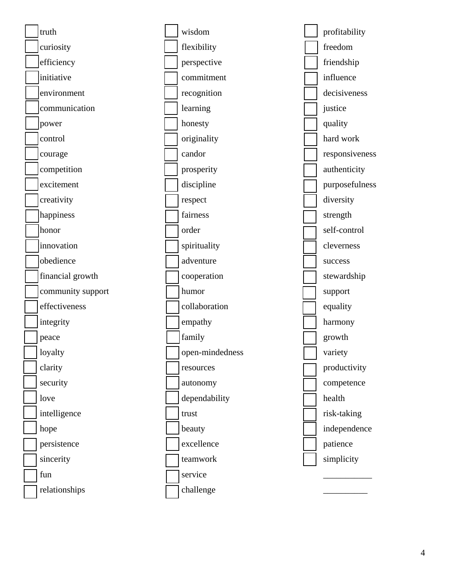

wisdom flexibility perspective commitment recognition learning honesty originality candor prosperity discipline respect fairness order spirituality adventure cooperation humor collaboration empathy family open-mindedness resources autonomy dependability trust beauty excellence teamwork service challenge

profitability freedom friendship influence decisiveness justice quality hard work responsiveness authenticity purposefulness diversity strength self-control cleverness success stewardship support equality harmony growth variety productivity competence health risk-taking independence patience simplicity

\_\_\_\_\_\_\_\_\_\_\_

 $\overline{\phantom{a}}$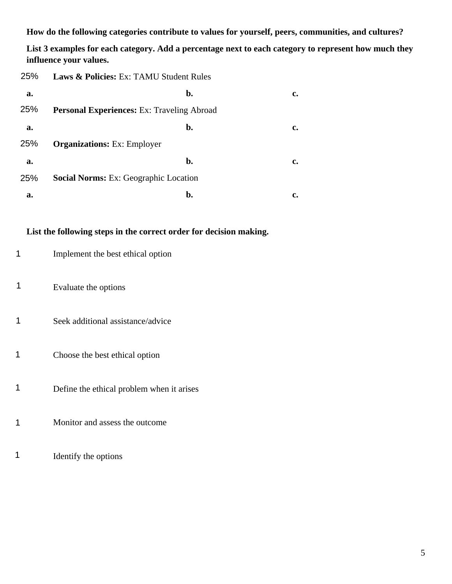**How do the following categories contribute to values for yourself, peers, communities, and cultures?**

**List 3 examples for each category. Add a percentage next to each category to represent how much they influence your values.** 

| 25% | <b>Laws &amp; Policies:</b> Ex: TAMU Student Rules |    |  |
|-----|----------------------------------------------------|----|--|
| a.  | b.                                                 | c. |  |
| 25% | <b>Personal Experiences: Ex: Traveling Abroad</b>  |    |  |
| a.  | b.                                                 | c. |  |
| 25% | <b>Organizations:</b> Ex: Employer                 |    |  |
| a.  | b.                                                 | c. |  |
| 25% | <b>Social Norms:</b> Ex: Geographic Location       |    |  |
| a.  | b.                                                 |    |  |

#### **List the following steps in the correct order for decision making.**

| Implement the best ethical option |
|-----------------------------------|
|-----------------------------------|

- Evaluate the options 1
- Seek additional assistance/advice 1
- Choose the best ethical option 1
- Define the ethical problem when it arises 1
- Monitor and assess the outcome 1
- Identify the options 1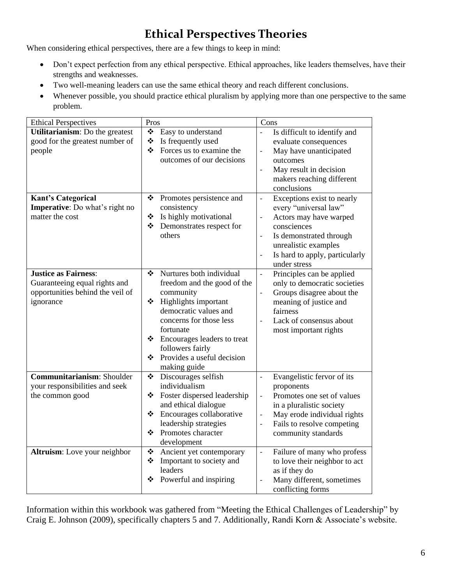## **Ethical Perspectives Theories**

When considering ethical perspectives, there are a few things to keep in mind:

- Don't expect perfection from any ethical perspective. Ethical approaches, like leaders themselves, have their strengths and weaknesses.
- Two well-meaning leaders can use the same ethical theory and reach different conclusions.
- Whenever possible, you should practice ethical pluralism by applying more than one perspective to the same problem.

| <b>Ethical Perspectives</b>                                                                                   | Pros                                                                                                                                                                                                                                                                         | Cons                                                                                                                                                                                                                                                                                                |
|---------------------------------------------------------------------------------------------------------------|------------------------------------------------------------------------------------------------------------------------------------------------------------------------------------------------------------------------------------------------------------------------------|-----------------------------------------------------------------------------------------------------------------------------------------------------------------------------------------------------------------------------------------------------------------------------------------------------|
| Utilitarianism: Do the greatest<br>good for the greatest number of<br>people                                  | ❖<br>Easy to understand<br>❖<br>Is frequently used<br>❖<br>Forces us to examine the<br>outcomes of our decisions                                                                                                                                                             | Is difficult to identify and<br>$\overline{a}$<br>evaluate consequences<br>May have unanticipated<br>$\overline{a}$<br>outcomes<br>May result in decision<br>$\overline{a}$<br>makers reaching different<br>conclusions                                                                             |
| <b>Kant's Categorical</b><br><b>Imperative:</b> Do what's right no<br>matter the cost                         | Promotes persistence and<br>❖<br>consistency<br>Is highly motivational<br>❖<br>Demonstrates respect for<br>❖<br>others                                                                                                                                                       | Exceptions exist to nearly<br>$\qquad \qquad -$<br>every "universal law"<br>Actors may have warped<br>$\overline{\phantom{0}}$<br>consciences<br>Is demonstrated through<br>$\overline{\phantom{0}}$<br>unrealistic examples<br>Is hard to apply, particularly<br>$\qquad \qquad -$<br>under stress |
| <b>Justice as Fairness:</b><br>Guaranteeing equal rights and<br>opportunities behind the veil of<br>ignorance | Nurtures both individual<br>❖<br>freedom and the good of the<br>community<br>❖ Highlights important<br>democratic values and<br>concerns for those less<br>fortunate<br>❖ Encourages leaders to treat<br>followers fairly<br>Provides a useful decision<br>❖<br>making guide | Principles can be applied<br>$\overline{a}$<br>only to democratic societies<br>Groups disagree about the<br>meaning of justice and<br>fairness<br>Lack of consensus about<br>$\frac{1}{2}$<br>most important rights                                                                                 |
| Communitarianism: Shoulder<br>your responsibilities and seek<br>the common good                               | $\bullet^{\bullet}_{\bullet} \bullet$<br>Discourages selfish<br>individualism<br>Foster dispersed leadership<br>❖<br>and ethical dialogue<br>Encourages collaborative<br>❖<br>leadership strategies<br>❖ Promotes character<br>development                                   | Evangelistic fervor of its<br>$\overline{a}$<br>proponents<br>Promotes one set of values<br>$\qquad \qquad -$<br>in a pluralistic society<br>May erode individual rights<br>$\qquad \qquad -$<br>Fails to resolve competing<br>$\overline{\phantom{m}}$<br>community standards                      |
| Altruism: Love your neighbor                                                                                  | Ancient yet contemporary<br>❖<br>Important to society and<br>❖<br>leaders<br>Powerful and inspiring<br>❖                                                                                                                                                                     | Failure of many who profess<br>$\overline{\phantom{a}}$<br>to love their neighbor to act<br>as if they do<br>Many different, sometimes<br>conflicting forms                                                                                                                                         |

Information within this workbook was gathered from "Meeting the Ethical Challenges of Leadership" by Craig E. Johnson (2009), specifically chapters 5 and 7. Additionally, Randi Korn & Associate's website.